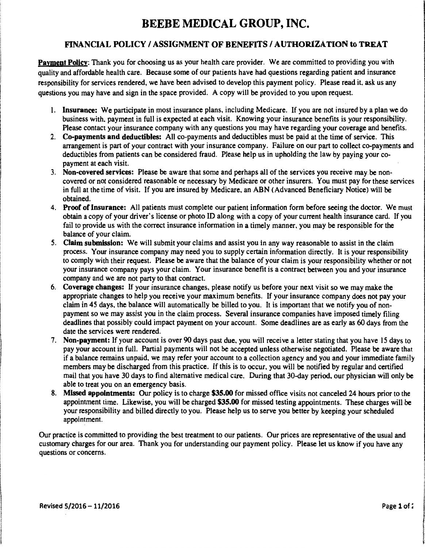## BEEBE MEDICAL GROUP, INC.

## FINANCIAL POLICY / ASSIGNMENT OF BENEFITS / AUTHORIZATION to TREAT

Payment Policy: Thank you for choosing us as your health care provider. We are committed to providing you with quality and affordable health care. Because some of our patients have had questions regarding patient and insurance responsibility for services rendered, we have been advised to develop this payment policy. Please read it. ask us any questions you may have and sign in the space provided. A copy will be provided to you upon request.

- I. Insurance: We participate in most insurance plans, including Medicare. If you are not insured by a plan we do business with. payment in full is expected at each visit. Knowing your insurance benefits is your responsibility. Please contact your insurance company with any questions you may have regarding your coverage and benefits.
- 2. Co-payments and deductibles: All co-payments and deductibles must be paid at the time of service. This arrangement is part of your contract with your insurance company. Failure on our part to collect co-payments and deductibles from patients can be considered fraud. Please help us in upholding the law by paying your copayment at each visit.
- 3. Non-covered services: Please be aware that some and perhaps all of the services you receive may. be noncovered or not considered reasonable or necessary by Medicare or other insurers. You must pay for these services in full at the time of visit. If you are insured by Medicare, an ABN (Advanced Beneficiary Notice) will be obtained.
- 4. Proof of Insurance: All patients must complete our patient information form before seeing the doctor. We must obtain a copy of your driver's license or photo ID along with a copy of your current health insurance card. If you fail to provide us with the correct insurance information in a timely manner, you may be responsible for the balance of your claim.
- 5. Claim submission: We will submit your claims and assist you in any way reasonable to assist in the claim process. Your insurance company may need you to supply certain information directly. It is your responsibility to comply with their request. Please be aware that the balance of your claim is your responsibility whether or not your insurance company pays your claim. Your insurance benefit is a contract between you and your insurance company and we are not party to that contract.
- 6. Coverage changes: If your insurance changes, please notify us before your next visit so we may make the appropriate changes to help you receive your maximum benefits. If your insurance company does not pay your claim in 45 days, the balance will automatically be billed to you. It is important that we notify you of nonpayment so we may assist you in the claim process. Several insurance companies have imposed timely filing deadlines that possibly could impact payment on your account. Some deadlines are as early as 60 days from the date the services were rendered.
- 7. Non-payment: If your account is over 90 days past due. you will receive a letter stating that you have 15 days to pay your account in full. Partial payments will not be accepted unless otherwise negotiated. Please be aware that if a balance remains unpaid, we may refer your account to a collection agency and you and your immediate family members may be discharged from this practice. If this is to occur, you will be notified by regular and certified mail that you have 30 days to find alternative medical care. During that 30-day period, our physician will only be able to treat you on an emergency basis.
- 8. Missed appointments: Our policy is to charge \$35.00 for missed office visits not canceled 24 hours prior to the appointment time. Likewise, you will be charged \$35.00 for missed testing appointments. These charges will be your responsibility and billed directly to you. Please help us to serve you better by keeping your scheduled appointment.

Our practice is committed to providing the best treatment to our patients. Our prices are representative of the usual and customary charges for our area. Thank you for understanding our payment policy. Please let us know if you have any questions or concerns.

I l l la de la composição de la composição de la composição de la composição de la composição de la composição de la<br>La composição i in comme ci

I I

**International Control of the Control of the Control of the Control of the Control of the Control of the Control**<br>International Control of the Control of the Control of the Control of the Control of the Control of the Cont a di intern Lavidoniski (kultu (sculpies) ; l ' .l